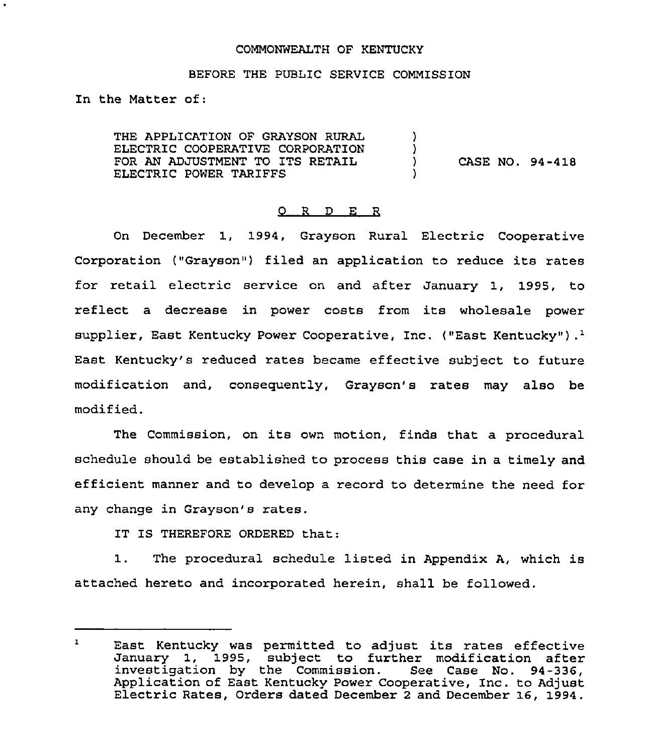### COMMONWEALTH OF KENTUCKY

### BEFORE THE PUBLIC SERVICE COMMISSION

In the Matter of:

THE APPLICATION OF GRAYSON RURAL ELECTRIC COOPERATIVE CORPORATION FOR AN ADJUSTMENT TO ITS RETAIL ELECTRIC POWER TARIFFS )  $\left\{ \right\}$ ) CASE NO. 94-418 )

## O R D E R

On December 1, 1994, Grayson Rural Electric Cooperative Corporation ("Grayson") filed an application to reduce its rates for retail electric service on and after January 1, 1995, to reflect a decrease in power costs from its wholesale power supplier, East Kentucky Power Cooperative, Inc. ("East Kentucky").<sup>1</sup> Kentucky's reduced rates became effective subject to future modification and, consequently, Grayson's rates may also be modified.

The Commission, on its own motion, finds that a procedural schedule should be established to process this case in a timely and efficient manner and to develop a record to determine the need for any change in Grayson's rates.

IT IS THEREFORE ORDERED that:

1. The procedural schedule listed in Appendix A, which is attached hereto and incorporated herein, shall be followed.

 $\mathbf{1}$ East Kentucky was permitted to adjust its rates effective January 1, 199S, subject to further modification after investigation by the Commission. See Case No. 94-336, Application of East Kentucky Power Cooperative, Inc. to Adjust Electric Rates, Orders dated December <sup>2</sup> and December 16, 1994.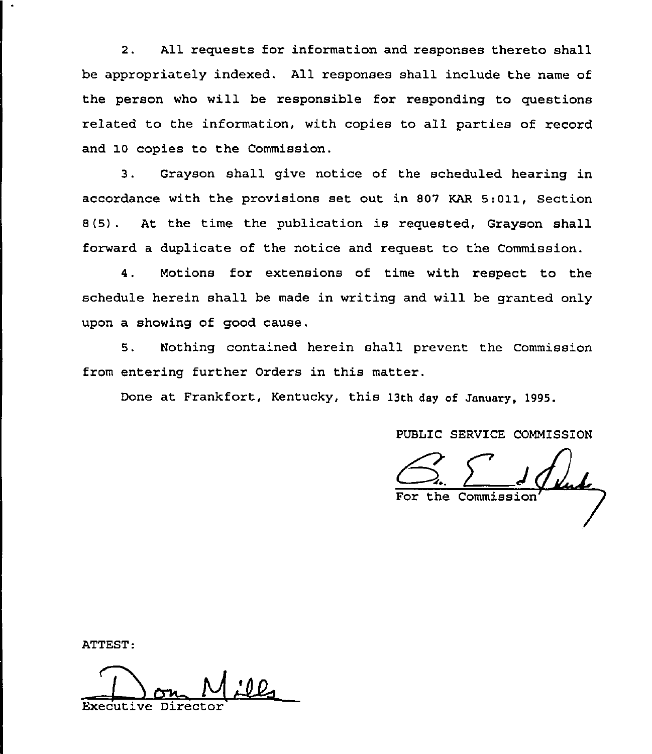2. All requests for information and responses thereto shall be appropriately indexed. All responses shall include the name of the person who will be responsible for responding to questions related to the information, with copies to all parties of record and 10 copies to the Commission.

3. Grayson shall give notice of the scheduled hearing in accordance with the provisions set out in 807 KAR 5:011, Section 8(5) . At the time the publication is requested, Grayson shall forward a duplicate of the notice and request to the Commission.

4. Motions for extensions of time with respect to the schedule herein shall be made in writing and will be granted only upon a showing of good cause.

5. Nothing contained herein shall prevent the Commission from entering further Orders in this matter.

Done at Frankfort, Kentucky, this 13th day of January, 1995.

PUBLIC SERVICE COMMISSION

<u>Kuh</u> For the Commissi

ATTEST:

Executive Director